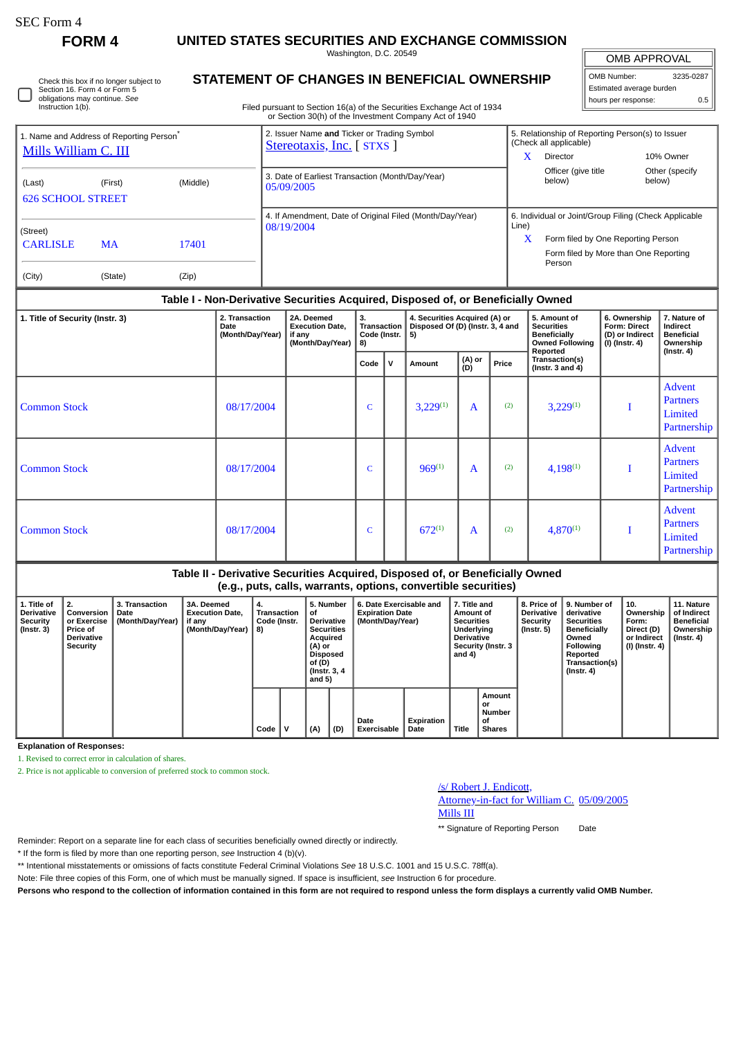∩

**FORM 4 UNITED STATES SECURITIES AND EXCHANGE COMMISSION**

Washington, D.C. 20549

| Check this box if no longer subject to |
|----------------------------------------|
| Section 16. Form 4 or Form 5           |
| obligations may continue. See          |
| Instruction 1(b).                      |

# **STATEMENT OF CHANGES IN BENEFICIAL OWNERSHIP**

Filed pursuant to Section 16(a) of the Securities Exchange Act of 1934 or Section 30(h) of the Investment Company Act of 1940

OMB APPROVAL OMB Number: 3235-0287 Estimated average burden hours per response: 0.5

| Mills William C. III        | 1. Name and Address of Reporting Person <sup>®</sup> |          | 2. Issuer Name and Ticker or Trading Symbol<br>Stereotaxis, Inc. [STXS ] | 5. Relationship of Reporting Person(s) to Issuer<br>(Check all applicable) |                                                 |                          |  |  |
|-----------------------------|------------------------------------------------------|----------|--------------------------------------------------------------------------|----------------------------------------------------------------------------|-------------------------------------------------|--------------------------|--|--|
|                             |                                                      |          |                                                                          | x                                                                          | Director                                        | 10% Owner                |  |  |
| (Last)                      | (First)                                              | (Middle) | 3. Date of Earliest Transaction (Month/Day/Year)<br>05/09/2005           |                                                                            | Officer (give title)<br>below)                  | Other (specify<br>below) |  |  |
| <b>626 SCHOOL STREET</b>    |                                                      |          |                                                                          |                                                                            |                                                 |                          |  |  |
|                             |                                                      |          | 4. If Amendment, Date of Original Filed (Month/Day/Year)<br>08/19/2004   | 6. Individual or Joint/Group Filing (Check Applicable<br>Line)             |                                                 |                          |  |  |
| (Street)<br><b>CARLISLE</b> | <b>MA</b>                                            | 17401    |                                                                          | x                                                                          | Form filed by One Reporting Person              |                          |  |  |
|                             |                                                      |          |                                                                          |                                                                            | Form filed by More than One Reporting<br>Person |                          |  |  |
| (City)                      | (State)                                              | (Zip)    |                                                                          |                                                                            |                                                 |                          |  |  |

#### **Table I - Non-Derivative Securities Acquired, Disposed of, or Beneficially Owned**

| 1. Title of Security (Instr. 3) | 2. Transaction<br>3.<br>4. Securities Acquired (A) or<br>5. Amount of<br>2A. Deemed<br><b>Transaction</b><br>Disposed Of (D) (Instr. 3, 4 and<br><b>Securities</b><br>Date<br><b>Execution Date,</b><br>Code (Instr.<br>(Month/Day/Year)<br><b>Beneficially</b><br>if any<br>5)<br>(Month/Day/Year)<br>8)<br>Reported<br>(A) or<br>(D)<br>Transaction(s)<br>$\mathbf{v}$<br>Price<br>Code<br>Amount<br>(Instr. $3$ and $4$ ) |  |              |  |               |              |     | <b>Owned Following</b> | 6. Ownership<br>Form: Direct<br>(D) or Indirect<br>(I) (Instr. 4) | 7. Nature of<br>Indirect<br><b>Beneficial</b><br>Ownership<br>$($ lnstr. 4 $)$ |
|---------------------------------|------------------------------------------------------------------------------------------------------------------------------------------------------------------------------------------------------------------------------------------------------------------------------------------------------------------------------------------------------------------------------------------------------------------------------|--|--------------|--|---------------|--------------|-----|------------------------|-------------------------------------------------------------------|--------------------------------------------------------------------------------|
|                                 |                                                                                                                                                                                                                                                                                                                                                                                                                              |  |              |  |               |              |     |                        |                                                                   |                                                                                |
| <b>Common Stock</b>             | 08/17/2004                                                                                                                                                                                                                                                                                                                                                                                                                   |  | $\mathsf{C}$ |  | $3,229^{(1)}$ | $\mathbf{A}$ | (2) | $3,229^{(1)}$          |                                                                   | Advent<br><b>Partners</b><br>Limited<br>Partnership                            |
| <b>Common Stock</b>             | 08/17/2004                                                                                                                                                                                                                                                                                                                                                                                                                   |  | $\mathsf{C}$ |  | $969^{(1)}$   | $\mathbf{A}$ | (2) | $4,198^{(1)}$          |                                                                   | Advent<br><b>Partners</b><br>Limited<br>Partnership                            |
| <b>Common Stock</b>             | 08/17/2004                                                                                                                                                                                                                                                                                                                                                                                                                   |  | $\mathsf{C}$ |  | $672^{(1)}$   | $\mathbf{A}$ | (2) | $4,870^{(1)}$          |                                                                   | Advent<br><b>Partners</b><br>Limited<br>Partnership                            |

## **Table II - Derivative Securities Acquired, Disposed of, or Beneficially Owned (e.g., puts, calls, warrants, options, convertible securities)**

| 1. Title of<br><b>Derivative</b><br>Security<br>(Instr. 3) | 2.<br>Conversion<br>or Exercise<br><b>Price of</b><br>Derivative<br>Security | 3. Transaction<br>Date<br>(Month/Day/Year) | 3A. Deemed<br><b>Execution Date,</b><br>if any<br>(Month/Dav/Year) | 4.<br><b>Transaction</b><br>Code (Instr.<br>8) |  | 5. Number<br>οf<br><b>Derivative</b><br><b>Securities</b><br>Acquired<br>  (A) or<br><b>Disposed</b><br>of (D)<br>(Instr. 3, 4)<br>and $5)$ |  | 6. Date Exercisable and<br><b>Expiration Date</b><br>(Month/Day/Year) |     | 7. Title and<br>Amount of<br><b>Securities</b><br>Underlying<br><b>Derivative</b><br><b>Security (Instr. 3</b><br>and $4)$ |                           | 8. Price of<br><b>Derivative</b><br>Security<br>(Instr. 5) | 9. Number of<br>derivative<br><b>Securities</b><br><b>Beneficially</b><br>Owned<br>Following<br>Reported<br>Transaction(s)<br>$($ Instr. 4 $)$ | 10.<br>Ownership<br>Form:<br>Direct (D)<br>or Indirect<br>  (I) (Instr. 4) | 11. Nature<br>of Indirect<br><b>Beneficial</b><br>Ownership<br>$($ Instr. 4 $)$ |  |
|------------------------------------------------------------|------------------------------------------------------------------------------|--------------------------------------------|--------------------------------------------------------------------|------------------------------------------------|--|---------------------------------------------------------------------------------------------------------------------------------------------|--|-----------------------------------------------------------------------|-----|----------------------------------------------------------------------------------------------------------------------------|---------------------------|------------------------------------------------------------|------------------------------------------------------------------------------------------------------------------------------------------------|----------------------------------------------------------------------------|---------------------------------------------------------------------------------|--|
|                                                            |                                                                              |                                            |                                                                    |                                                |  | Code                                                                                                                                        |  | (A)                                                                   | (D) | Date<br>Exercisable                                                                                                        | <b>Expiration</b><br>Date | Title                                                      | Amount<br>or<br><b>Number</b><br>οf<br><b>Shares</b>                                                                                           |                                                                            |                                                                                 |  |

**Explanation of Responses:**

1. Revised to correct error in calculation of shares.

2. Price is not applicable to conversion of preferred stock to common stock.

## /s/ Robert J. Endicott,

Attorney-in-fact for William C. 05/09/2005 Mills III

\*\* Signature of Reporting Person Date

Reminder: Report on a separate line for each class of securities beneficially owned directly or indirectly.

\* If the form is filed by more than one reporting person, *see* Instruction 4 (b)(v).

\*\* Intentional misstatements or omissions of facts constitute Federal Criminal Violations *See* 18 U.S.C. 1001 and 15 U.S.C. 78ff(a).

Note: File three copies of this Form, one of which must be manually signed. If space is insufficient, *see* Instruction 6 for procedure.

**Persons who respond to the collection of information contained in this form are not required to respond unless the form displays a currently valid OMB Number.**